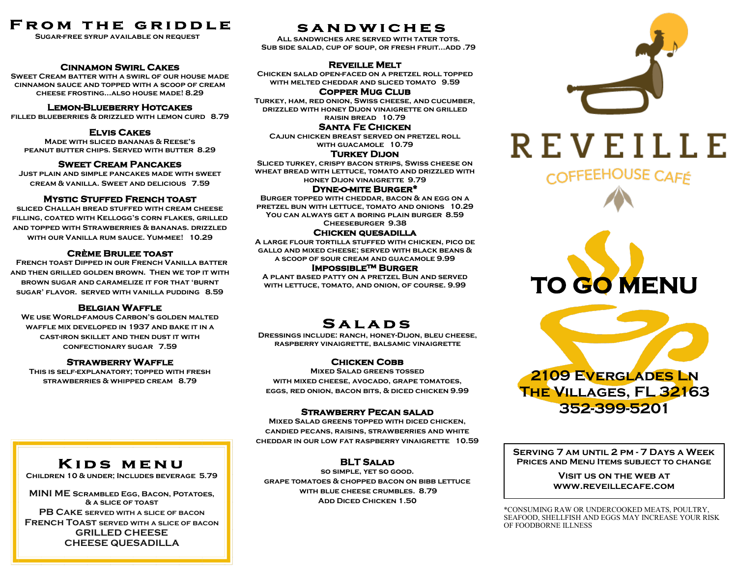# **FROM THE GRIDDLE**

**Sugar-free syrup available on request**

### **Cinnamon Swirl Cakes**

**Sweet Cream batter with a swirl of our house made cinnamon sauce and topped with a scoop of cream cheese frosting...also house made! 8.29**

### **Lemon-Blueberry Hotcakes**

**filled blueberries & drizzled with lemon curd 8.79**

### **Elvis Cakes**

**Made with sliced bananas & Reese's peanut butter chips. Served with butter 8.29**

### **Sweet Cream Pancakes**

**Just plain and simple pancakes made with sweet cream & vanilla. Sweet and delicious 7.59**

### **Mystic Stuffed French toast**

**sliced Challah bread stuffed with cream cheese filling, coated with Kellogg's corn flakes, grilled and topped with Strawberries & bananas. drizzled with our Vanilla rum sauce. Yum-mee! 10.29**

### **Crème Brulee toast**

 **French toast Dipped in our French Vanilla batter and then grilled golden brown. Then we top it with brown sugar and caramelize it for that 'burnt sugar' flavor. served with vanilla pudding 8.59** 

### **Belgian Waffle**

**We use World-famous Carbon's golden malted waffle mix developed in 1937 and bake it in a cast-iron skillet and then dust it with confectionary sugar 7.59** 

### **Strawberry Waffle**

**This is self-explanatory; topped with fresh strawberries & whipped cream 8.79** 

### **SANDWICHES**

**All sandwiches are served with tater tots. Sub side salad, cup of soup, or fresh fruit...add .79**

### **Reveille Melt**

**Chicken salad open-faced on a pretzel roll topped with melted cheddar and sliced tomato 9.59** 

### **Copper Mug Club**

**Turkey, ham, red onion, Swiss cheese, and cucumber, drizzled with honey Dijon vinaigrette on grilled raisin bread 10.79** 

### **Santa Fe Chicken**

**Cajun chicken breast served on pretzel roll with guacamole 10.79**

### **Turkey Dijon**

**Sliced turkey, crispy bacon strips, Swiss cheese on wheat bread with lettuce, tomato and drizzled with honey Dijon vinaigrette 9.79**

### **Dyne-o-mite Burger\***

**Burger topped with cheddar, bacon & an egg on a pretzel bun with lettuce, tomato and onions 10.29 You can always get a boring plain burger 8.59 Cheeseburger 9.38**

### **Chicken quesadilla**

**A large flour tortilla stuffed with chicken, pico de gallo and mixed cheese; served with black beans & a scoop of sour cream and guacamole 9.99**

### **Impossible™ Burger**

**A plant based patty on a pretzel Bun and served with lettuce, tomato, and onion, of course. 9.99**

# **SALADS**

**Dressings include: ranch, honey-Dijon, bleu cheese, raspberry vinaigrette, balsamic vinaigrette**

### **Chicken Cobb**

**Mixed Salad greens tossed with mixed cheese, avocado, grape tomatoes,**

### **Strawberry Pecan salad**

**Mixed Salad greens topped with diced chicken, candied pecans, raisins, strawberries and white cheddar in our low fat raspberry vinaigrette 10.59** 

### **BLT Salad**

**so simple, yet so good. grape tomatoes & chopped bacon on bibb lettuce with blue cheese crumbles. 8.79 ADD DICED CHICKEN 1.50** 







**Serving 7 am until 2 pm - 7 Days a Week Prices and Menu Items subject to change**

> **Visit us on the web at www.reveillecafe.com**

\*CONSUMING RAW OR UNDERCOOKED MEATS, POULTRY, SEAFOOD, SHELLFISH AND EGGS MAY INCREASE YOUR RISK OF FOODBORNE ILLNESS

## **KIDS MENU**

**Children 10 & under; Includes beverage 5.79**

**MINI ME Scrambled Egg, Bacon, Potatoes, & a slice of toast PB Cake served with a slice of bacon French Toast served with a slice of bacon GRILLED CHEESE CHEESE QUESADILLA**

**eggs, red onion, bacon bits, & diced chicken 9.99**